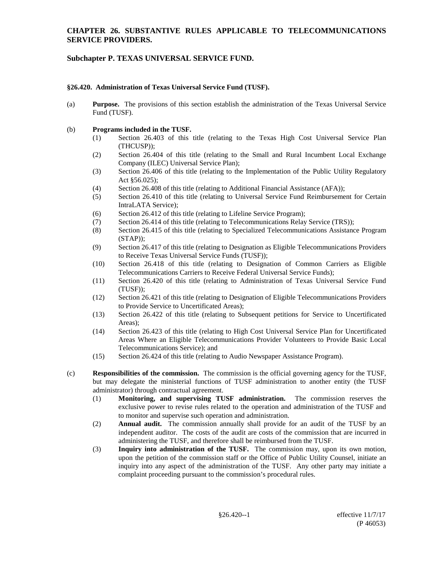# **Subchapter P. TEXAS UNIVERSAL SERVICE FUND.**

### **§26.420. Administration of Texas Universal Service Fund (TUSF).**

(a) **Purpose.** The provisions of this section establish the administration of the Texas Universal Service Fund (TUSF).

### (b) **Programs included in the TUSF.**

- (1) Section 26.403 of this title (relating to the Texas High Cost Universal Service Plan (THCUSP));
- (2) Section 26.404 of this title (relating to the Small and Rural Incumbent Local Exchange Company (ILEC) Universal Service Plan);
- (3) Section 26.406 of this title (relating to the Implementation of the Public Utility Regulatory Act §56.025);
- (4) Section 26.408 of this title (relating to Additional Financial Assistance (AFA));
- (5) Section 26.410 of this title (relating to Universal Service Fund Reimbursement for Certain IntraLATA Service);
- (6) Section 26.412 of this title (relating to Lifeline Service Program);
- (7) Section 26.414 of this title (relating to Telecommunications Relay Service (TRS));
- (8) Section 26.415 of this title (relating to Specialized Telecommunications Assistance Program (STAP));
- (9) Section 26.417 of this title (relating to Designation as Eligible Telecommunications Providers to Receive Texas Universal Service Funds (TUSF));
- (10) Section 26.418 of this title (relating to Designation of Common Carriers as Eligible Telecommunications Carriers to Receive Federal Universal Service Funds);
- (11) Section 26.420 of this title (relating to Administration of Texas Universal Service Fund (TUSF));
- (12) Section 26.421 of this title (relating to Designation of Eligible Telecommunications Providers to Provide Service to Uncertificated Areas);
- (13) Section 26.422 of this title (relating to Subsequent petitions for Service to Uncertificated Areas);
- (14) Section 26.423 of this title (relating to High Cost Universal Service Plan for Uncertificated Areas Where an Eligible Telecommunications Provider Volunteers to Provide Basic Local Telecommunications Service); and
- (15) Section 26.424 of this title (relating to Audio Newspaper Assistance Program).
- (c) **Responsibilities of the commission.** The commission is the official governing agency for the TUSF, but may delegate the ministerial functions of TUSF administration to another entity (the TUSF administrator) through contractual agreement.
	- (1) **Monitoring, and supervising TUSF administration.** The commission reserves the exclusive power to revise rules related to the operation and administration of the TUSF and to monitor and supervise such operation and administration.
	- (2) **Annual audit.** The commission annually shall provide for an audit of the TUSF by an independent auditor. The costs of the audit are costs of the commission that are incurred in administering the TUSF, and therefore shall be reimbursed from the TUSF.
	- (3) **Inquiry into administration of the TUSF.** The commission may, upon its own motion, upon the petition of the commission staff or the Office of Public Utility Counsel, initiate an inquiry into any aspect of the administration of the TUSF. Any other party may initiate a complaint proceeding pursuant to the commission's procedural rules.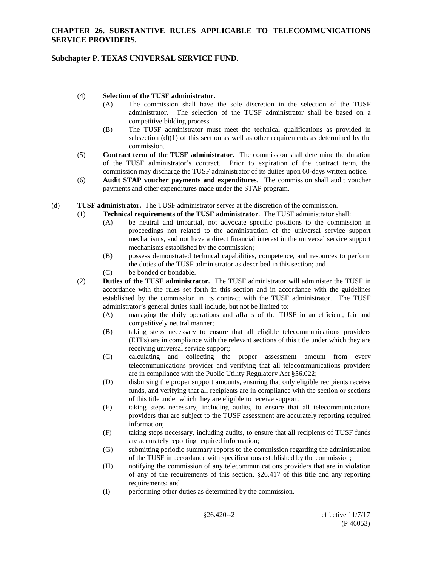# **Subchapter P. TEXAS UNIVERSAL SERVICE FUND.**

### (4) **Selection of the TUSF administrator.**

- (A) The commission shall have the sole discretion in the selection of the TUSF administrator. The selection of the TUSF administrator shall be based on a competitive bidding process.
- (B) The TUSF administrator must meet the technical qualifications as provided in subsection (d)(1) of this section as well as other requirements as determined by the commission.
- (5) **Contract term of the TUSF administrator.** The commission shall determine the duration of the TUSF administrator's contract. Prior to expiration of the contract term, the commission may discharge the TUSF administrator of its duties upon 60-days written notice.
- (6) **Audit STAP voucher payments and expenditures**. The commission shall audit voucher payments and other expenditures made under the STAP program.
- (d) **TUSF administrator.** The TUSF administrator serves at the discretion of the commission.
	- (1) **Technical requirements of the TUSF administrator**. The TUSF administrator shall:
		- (A) be neutral and impartial, not advocate specific positions to the commission in proceedings not related to the administration of the universal service support mechanisms, and not have a direct financial interest in the universal service support mechanisms established by the commission;
		- (B) possess demonstrated technical capabilities, competence, and resources to perform the duties of the TUSF administrator as described in this section; and
		- (C) be bonded or bondable.
	- (2) **Duties of the TUSF administrator.** The TUSF administrator will administer the TUSF in accordance with the rules set forth in this section and in accordance with the guidelines established by the commission in its contract with the TUSF administrator. The TUSF administrator's general duties shall include, but not be limited to:
		- (A) managing the daily operations and affairs of the TUSF in an efficient, fair and competitively neutral manner;
		- (B) taking steps necessary to ensure that all eligible telecommunications providers (ETPs) are in compliance with the relevant sections of this title under which they are receiving universal service support;
		- (C) calculating and collecting the proper assessment amount from every telecommunications provider and verifying that all telecommunications providers are in compliance with the Public Utility Regulatory Act §56.022;
		- (D) disbursing the proper support amounts, ensuring that only eligible recipients receive funds, and verifying that all recipients are in compliance with the section or sections of this title under which they are eligible to receive support;
		- (E) taking steps necessary, including audits, to ensure that all telecommunications providers that are subject to the TUSF assessment are accurately reporting required information;
		- (F) taking steps necessary, including audits, to ensure that all recipients of TUSF funds are accurately reporting required information;
		- (G) submitting periodic summary reports to the commission regarding the administration of the TUSF in accordance with specifications established by the commission;
		- (H) notifying the commission of any telecommunications providers that are in violation of any of the requirements of this section, §26.417 of this title and any reporting requirements; and
		- (I) performing other duties as determined by the commission.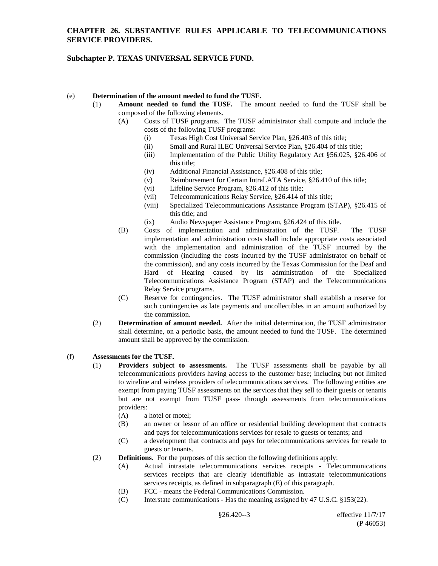# **Subchapter P. TEXAS UNIVERSAL SERVICE FUND.**

### (e) **Determination of the amount needed to fund the TUSF.**

- (1) **Amount needed to fund the TUSF.** The amount needed to fund the TUSF shall be composed of the following elements.
	- (A) Costs of TUSF programs. The TUSF administrator shall compute and include the costs of the following TUSF programs:
		- (i) Texas High Cost Universal Service Plan, §26.403 of this title;
		- (ii) Small and Rural ILEC Universal Service Plan, §26.404 of this title;
		- (iii) Implementation of the Public Utility Regulatory Act §56.025, §26.406 of this title;
		- (iv) Additional Financial Assistance, §26.408 of this title;
		- (v) Reimbursement for Certain IntraLATA Service, §26.410 of this title;
		- (vi) Lifeline Service Program, §26.412 of this title;
		- (vii) Telecommunications Relay Service, §26.414 of this title;
		- (viii) Specialized Telecommunications Assistance Program (STAP), §26.415 of this title; and
		- (ix) Audio Newspaper Assistance Program, §26.424 of this title.
	- (B) Costs of implementation and administration of the TUSF. The TUSF implementation and administration costs shall include appropriate costs associated with the implementation and administration of the TUSF incurred by the commission (including the costs incurred by the TUSF administrator on behalf of the commission), and any costs incurred by the Texas Commission for the Deaf and Hard of Hearing caused by its administration of the Specialized Telecommunications Assistance Program (STAP) and the Telecommunications Relay Service programs.
	- (C) Reserve for contingencies. The TUSF administrator shall establish a reserve for such contingencies as late payments and uncollectibles in an amount authorized by the commission.
- (2) **Determination of amount needed.** After the initial determination, the TUSF administrator shall determine, on a periodic basis, the amount needed to fund the TUSF. The determined amount shall be approved by the commission.

### (f) **Assessments for the TUSF.**

- (1) **Providers subject to assessments.** The TUSF assessments shall be payable by all telecommunications providers having access to the customer base; including but not limited to wireline and wireless providers of telecommunications services. The following entities are exempt from paying TUSF assessments on the services that they sell to their guests or tenants but are not exempt from TUSF pass- through assessments from telecommunications providers:
	- (A) a hotel or motel;
	- (B) an owner or lessor of an office or residential building development that contracts and pays for telecommunications services for resale to guests or tenants; and
	- (C) a development that contracts and pays for telecommunications services for resale to guests or tenants.
- (2) **Definitions.** For the purposes of this section the following definitions apply:
	- (A) Actual intrastate telecommunications services receipts Telecommunications services receipts that are clearly identifiable as intrastate telecommunications services receipts, as defined in subparagraph (E) of this paragraph.
	- (B) FCC means the Federal Communications Commission.
	- (C) Interstate communications Has the meaning assigned by 47 U.S.C. §153(22).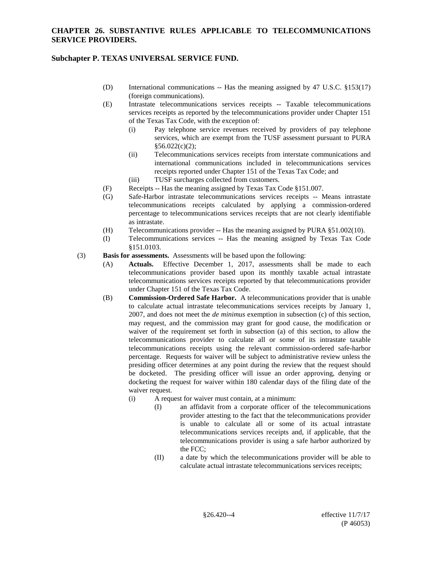# **Subchapter P. TEXAS UNIVERSAL SERVICE FUND.**

- (D) International communications -- Has the meaning assigned by 47 U.S.C. §153(17) (foreign communications).
- (E) Intrastate telecommunications services receipts -- Taxable telecommunications services receipts as reported by the telecommunications provider under Chapter 151 of the Texas Tax Code, with the exception of:
	- (i) Pay telephone service revenues received by providers of pay telephone services, which are exempt from the TUSF assessment pursuant to PURA  $§56.022(c)(2);$
	- (ii) Telecommunications services receipts from interstate communications and international communications included in telecommunications services receipts reported under Chapter 151 of the Texas Tax Code; and
	- (iii) TUSF surcharges collected from customers.
- (F) Receipts -- Has the meaning assigned by Texas Tax Code §151.007.
- (G) Safe-Harbor intrastate telecommunications services receipts -- Means intrastate telecommunications receipts calculated by applying a commission-ordered percentage to telecommunications services receipts that are not clearly identifiable as intrastate.
- (H) Telecommunications provider -- Has the meaning assigned by PURA §51.002(10).
- (I) Telecommunications services -- Has the meaning assigned by Texas Tax Code §151.0103.
- (3) **Basis for assessments.** Assessments will be based upon the following:
	- (A) **Actuals.** Effective December 1, 2017, assessments shall be made to each telecommunications provider based upon its monthly taxable actual intrastate telecommunications services receipts reported by that telecommunications provider under Chapter 151 of the Texas Tax Code.
	- (B) **Commission-Ordered Safe Harbor.** A telecommunications provider that is unable to calculate actual intrastate telecommunications services receipts by January 1, 2007, and does not meet the *de minimus* exemption in subsection (c) of this section, may request, and the commission may grant for good cause, the modification or waiver of the requirement set forth in subsection (a) of this section, to allow the telecommunications provider to calculate all or some of its intrastate taxable telecommunications receipts using the relevant commission-ordered safe-harbor percentage. Requests for waiver will be subject to administrative review unless the presiding officer determines at any point during the review that the request should be docketed. The presiding officer will issue an order approving, denying or docketing the request for waiver within 180 calendar days of the filing date of the waiver request.
		- (i) A request for waiver must contain, at a minimum:
			- (I) an affidavit from a corporate officer of the telecommunications provider attesting to the fact that the telecommunications provider is unable to calculate all or some of its actual intrastate telecommunications services receipts and, if applicable, that the telecommunications provider is using a safe harbor authorized by the FCC;
			- (II) a date by which the telecommunications provider will be able to calculate actual intrastate telecommunications services receipts;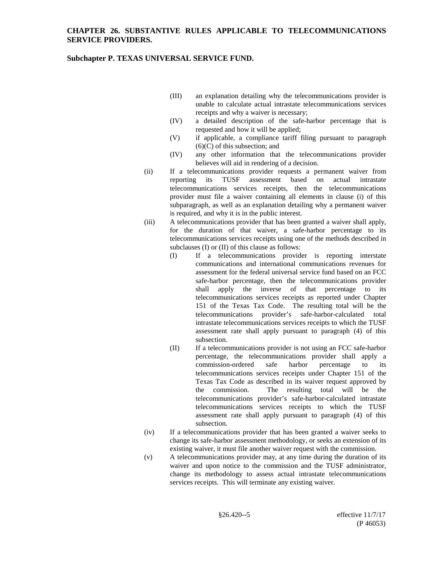### **Subchapter P. TEXAS UNIVERSAL SERVICE FUND.**

- (III) an explanation detailing why the telecommunications provider is unable to calculate actual intrastate telecommunications services receipts and why a waiver is necessary;
- (IV) a detailed description of the safe-harbor percentage that is requested and how it will be applied;
- (V) if applicable, a compliance tariff filing pursuant to paragraph (6)(C) of this subsection; and
- (IV) any other information that the telecommunications provider believes will aid in rendering of a decision.
- (ii) If a telecommunications provider requests a permanent waiver from reporting its TUSF assessment based on actual intrastate telecommunications services receipts, then the telecommunications provider must file a waiver containing all elements in clause (i) of this subparagraph, as well as an explanation detailing why a permanent waiver is required, and why it is in the public interest.
- (iii) A telecommunications provider that has been granted a waiver shall apply, for the duration of that waiver, a safe-harbor percentage to its telecommunications services receipts using one of the methods described in subclauses (I) or (II) of this clause as follows:
	- (I) If a telecommunications provider is reporting interstate communications and international communications revenues for assessment for the federal universal service fund based on an FCC safe-harbor percentage, then the telecommunications provider shall apply the inverse of that percentage to its telecommunications services receipts as reported under Chapter 151 of the Texas Tax Code. The resulting total will be the telecommunications provider's safe-harbor-calculated total intrastate telecommunications services receipts to which the TUSF assessment rate shall apply pursuant to paragraph (4) of this subsection.
	- (II) If a telecommunications provider is not using an FCC safe-harbor percentage, the telecommunications provider shall apply a commission-ordered safe harbor percentage to its telecommunications services receipts under Chapter 151 of the Texas Tax Code as described in its waiver request approved by the commission. The resulting total will be the telecommunications provider's safe-harbor-calculated intrastate telecommunications services receipts to which the TUSF assessment rate shall apply pursuant to paragraph (4) of this subsection.
- (iv) If a telecommunications provider that has been granted a waiver seeks to change its safe-harbor assessment methodology, or seeks an extension of its existing waiver, it must file another waiver request with the commission.
- (v) A telecommunications provider may, at any time during the duration of its waiver and upon notice to the commission and the TUSF administrator, change its methodology to assess actual intrastate telecommunications services receipts. This will terminate any existing waiver.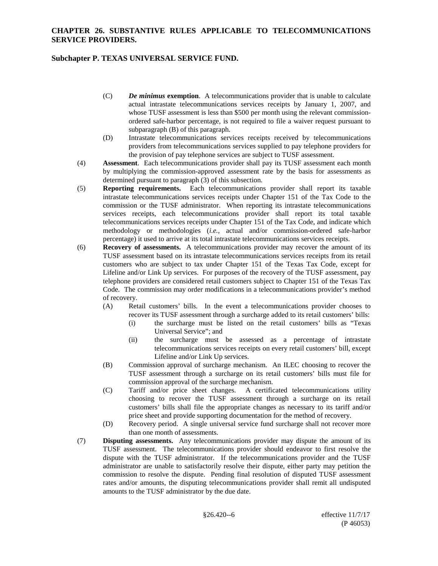### **Subchapter P. TEXAS UNIVERSAL SERVICE FUND.**

- (C) *De minimus* **exemption**. A telecommunications provider that is unable to calculate actual intrastate telecommunications services receipts by January 1, 2007, and whose TUSF assessment is less than \$500 per month using the relevant commissionordered safe-harbor percentage, is not required to file a waiver request pursuant to subparagraph (B) of this paragraph.
- (D) Intrastate telecommunications services receipts received by telecommunications providers from telecommunications services supplied to pay telephone providers for the provision of pay telephone services are subject to TUSF assessment.
- (4) **Assessment**. Each telecommunications provider shall pay its TUSF assessment each month by multiplying the commission-approved assessment rate by the basis for assessments as determined pursuant to paragraph (3) of this subsection.
- (5) **Reporting requirements.** Each telecommunications provider shall report its taxable intrastate telecommunications services receipts under Chapter 151 of the Tax Code to the commission or the TUSF administrator. When reporting its intrastate telecommunications services receipts, each telecommunications provider shall report its total taxable telecommunications services receipts under Chapter 151 of the Tax Code, and indicate which methodology or methodologies (*i.e.*, actual and/or commission-ordered safe-harbor percentage) it used to arrive at its total intrastate telecommunications services receipts.
- (6) **Recovery of assessments.** A telecommunications provider may recover the amount of its TUSF assessment based on its intrastate telecommunications services receipts from its retail customers who are subject to tax under Chapter 151 of the Texas Tax Code, except for Lifeline and/or Link Up services. For purposes of the recovery of the TUSF assessment, pay telephone providers are considered retail customers subject to Chapter 151 of the Texas Tax Code. The commission may order modifications in a telecommunications provider's method of recovery.
	- (A) Retail customers' bills. In the event a telecommunications provider chooses to recover its TUSF assessment through a surcharge added to its retail customers' bills:
		- (i) the surcharge must be listed on the retail customers' bills as "Texas Universal Service"; and
		- (ii) the surcharge must be assessed as a percentage of intrastate telecommunications services receipts on every retail customers' bill, except Lifeline and/or Link Up services.
	- (B) Commission approval of surcharge mechanism. An ILEC choosing to recover the TUSF assessment through a surcharge on its retail customers' bills must file for commission approval of the surcharge mechanism.
	- (C) Tariff and/or price sheet changes. A certificated telecommunications utility choosing to recover the TUSF assessment through a surcharge on its retail customers' bills shall file the appropriate changes as necessary to its tariff and/or price sheet and provide supporting documentation for the method of recovery.
	- (D) Recovery period. A single universal service fund surcharge shall not recover more than one month of assessments.
- (7) **Disputing assessments.** Any telecommunications provider may dispute the amount of its TUSF assessment. The telecommunications provider should endeavor to first resolve the dispute with the TUSF administrator. If the telecommunications provider and the TUSF administrator are unable to satisfactorily resolve their dispute, either party may petition the commission to resolve the dispute. Pending final resolution of disputed TUSF assessment rates and/or amounts, the disputing telecommunications provider shall remit all undisputed amounts to the TUSF administrator by the due date.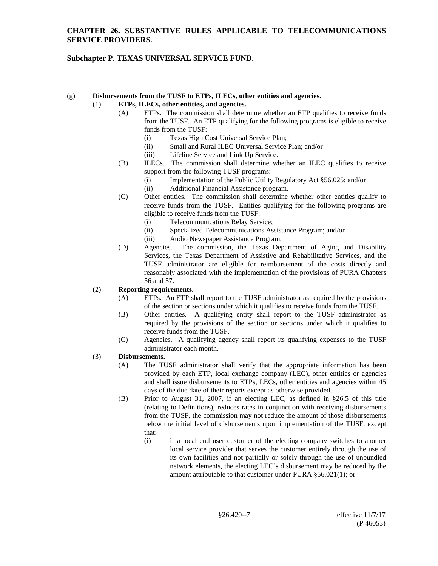# **Subchapter P. TEXAS UNIVERSAL SERVICE FUND.**

#### (g) **Disbursements from the TUSF to ETPs, ILECs, other entities and agencies.** (1) **ETPs, ILECs, other entities, and agencies.**

- (A) ETPs. The commission shall determine whether an ETP qualifies to receive funds from the TUSF. An ETP qualifying for the following programs is eligible to receive funds from the TUSF:
	- (i) Texas High Cost Universal Service Plan;
	- (ii) Small and Rural ILEC Universal Service Plan; and/or
	- (iii) Lifeline Service and Link Up Service.
- (B) ILECs. The commission shall determine whether an ILEC qualifies to receive support from the following TUSF programs:
	- (i) Implementation of the Public Utility Regulatory Act §56.025; and/or
	- (ii) Additional Financial Assistance program.
- (C) Other entities. The commission shall determine whether other entities qualify to receive funds from the TUSF. Entities qualifying for the following programs are eligible to receive funds from the TUSF:
	- (i) Telecommunications Relay Service;
	- (ii) Specialized Telecommunications Assistance Program; and/or
	- (iii) Audio Newspaper Assistance Program.
- (D) Agencies.The commission, the Texas Department of Aging and Disability Services, the Texas Department of Assistive and Rehabilitative Services, and the TUSF administrator are eligible for reimbursement of the costs directly and reasonably associated with the implementation of the provisions of PURA Chapters 56 and 57.

# (2) **Reporting requirements.**

- (A) ETPs. An ETP shall report to the TUSF administrator as required by the provisions of the section or sections under which it qualifies to receive funds from the TUSF.
- (B) Other entities. A qualifying entity shall report to the TUSF administrator as required by the provisions of the section or sections under which it qualifies to receive funds from the TUSF.
- (C) Agencies. A qualifying agency shall report its qualifying expenses to the TUSF administrator each month.

### (3) **Disbursements.**

- (A) The TUSF administrator shall verify that the appropriate information has been provided by each ETP, local exchange company (LEC), other entities or agencies and shall issue disbursements to ETPs, LECs, other entities and agencies within 45 days of the due date of their reports except as otherwise provided.
- (B) Prior to August 31, 2007, if an electing LEC, as defined in §26.5 of this title (relating to Definitions), reduces rates in conjunction with receiving disbursements from the TUSF, the commission may not reduce the amount of those disbursements below the initial level of disbursements upon implementation of the TUSF, except that:
	- (i) if a local end user customer of the electing company switches to another local service provider that serves the customer entirely through the use of its own facilities and not partially or solely through the use of unbundled network elements, the electing LEC's disbursement may be reduced by the amount attributable to that customer under PURA §56.021(1); or